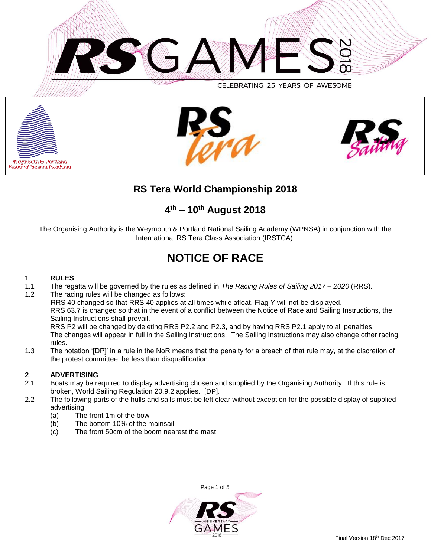







# **RS Tera World Championship 2018**

# **4 th – 10 th August 2018**

The Organising Authority is the Weymouth & Portland National Sailing Academy (WPNSA) in conjunction with the International RS Tera Class Association (IRSTCA).

# **NOTICE OF RACE**

# **1 RULES**

- 1.1 The regatta will be governed by the rules as defined in *The Racing Rules of Sailing 2017 – 2020* (RRS).
- 1.2 The racing rules will be changed as follows: RRS 40 changed so that RRS 40 applies at all times while afloat. Flag Y will not be displayed. RRS 63.7 is changed so that in the event of a conflict between the Notice of Race and Sailing Instructions, the Sailing Instructions shall prevail. RRS P2 will be changed by deleting RRS P2.2 and P2.3, and by having RRS P2.1 apply to all penalties. The changes will appear in full in the Sailing Instructions. The Sailing Instructions may also change other racing rules.
- 1.3 The notation '[DP]' in a rule in the NoR means that the penalty for a breach of that rule may, at the discretion of the protest committee, be less than disqualification.

# **2 ADVERTISING**

- 2.1 Boats may be required to display advertising chosen and supplied by the Organising Authority. If this rule is broken, World Sailing Regulation 20.9.2 applies. [DP].
- 2.2 The following parts of the hulls and sails must be left clear without exception for the possible display of supplied advertising:
	- (a) The front 1m of the bow
	- (b) The bottom 10% of the mainsail
	- (c) The front 50cm of the boom nearest the mast

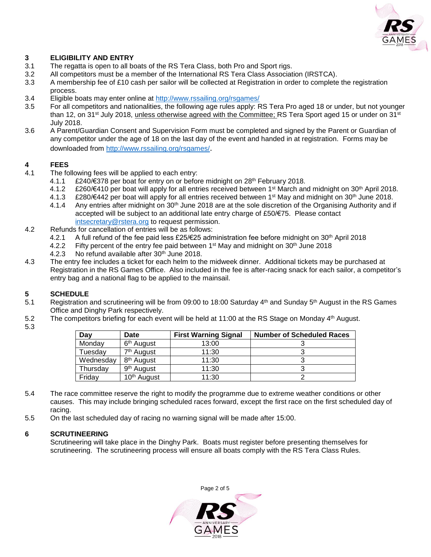

# **3 ELIGIBILITY AND ENTRY**

- 3.1 The regatta is open to all boats of the RS Tera Class, both Pro and Sport rigs.
- 3.2 All competitors must be a member of the International RS Tera Class Association (IRSTCA).
- 3.3 A membership fee of £10 cash per sailor will be collected at Registration in order to complete the registration process.
- 3.4 Eligible boats may enter online at<http://www.rssailing.org/rsgames/>
- 3.5 For all competitors and nationalities, the following age rules apply: RS Tera Pro aged 18 or under, but not younger than 12, on 31<sup>st</sup> July 2018, unless otherwise agreed with the Committee; RS Tera Sport aged 15 or under on 31<sup>st</sup> July 2018.
- 3.6 A Parent/Guardian Consent and Supervision Form must be completed and signed by the Parent or Guardian of any competitor under the age of 18 on the last day of the event and handed in at registration. Forms may be downloaded from<http://www.rssailing.org/rsgames/>.

## **4 FEES**

- 4.1 The following fees will be applied to each entry:
	- 4.1.1 £240/€378 per boat for entry on or before midnight on 28th February 2018.
		- 4.1.2 £260/€410 per boat will apply for all entries received between 1st March and midnight on 30th April 2018.
		- 4.1.3 £280/€442 per boat will apply for all entries received between 1st May and midnight on 30th June 2018.
		- 4.1.4 Any entries after midnight on 30<sup>th</sup> June 2018 are at the sole discretion of the Organising Authority and if accepted will be subject to an additional late entry charge of £50/€75. Please contact [intsecretary@rstera.org](mailto:intsecretary@rstera.org) to request permission.
- 4.2 Refunds for cancellation of entries will be as follows:
	- 4.2.1 A full refund of the fee paid less £25/€25 administration fee before midnight on 30th April 2018
	- 4.2.2 Fifty percent of the entry fee paid between 1<sup>st</sup> May and midnight on 30<sup>th</sup> June 2018
	- 4.2.3 No refund available after 30<sup>th</sup> June 2018.
- 4.3 The entry fee includes a ticket for each helm to the midweek dinner. Additional tickets may be purchased at Registration in the RS Games Office. Also included in the fee is after-racing snack for each sailor, a competitor's entry bag and a national flag to be applied to the mainsail.

## **5 SCHEDULE**

- 5.1 Registration and scrutineering will be from 09:00 to 18:00 Saturday 4<sup>th</sup> and Sunday 5<sup>th</sup> August in the RS Games Office and Dinghy Park respectively.
- 5.2 The competitors briefing for each event will be held at 11:00 at the RS Stage on Monday 4<sup>th</sup> August.
- 5.3

| Day       | Date                    | <b>First Warning Signal</b> | <b>Number of Scheduled Races</b> |
|-----------|-------------------------|-----------------------------|----------------------------------|
| Monday    | 6 <sup>th</sup> August  | 13:00                       |                                  |
| Tuesday   | 7 <sup>th</sup> August  | 11:30                       |                                  |
| Wednesday | 8 <sup>th</sup> August  | 11:30                       |                                  |
| Thursday  | 9 <sup>th</sup> August  | 11:30                       |                                  |
| Friday    | 10 <sup>th</sup> August | 11:30                       |                                  |

- 5.4 The race committee reserve the right to modify the programme due to extreme weather conditions or other causes. This may include bringing scheduled races forward, except the first race on the first scheduled day of racing.
- 5.5 On the last scheduled day of racing no warning signal will be made after 15:00.

#### **6 SCRUTINEERING**

Scrutineering will take place in the Dinghy Park. Boats must register before presenting themselves for scrutineering. The scrutineering process will ensure all boats comply with the RS Tera Class Rules.

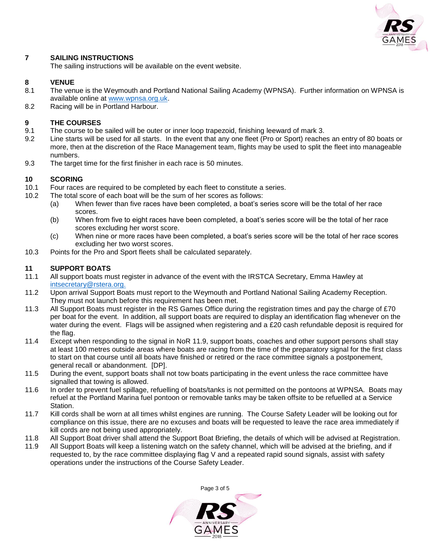

# **7 SAILING INSTRUCTIONS**

The sailing instructions will be available on the event website.

#### **8 VENUE**

- 8.1 The venue is the Weymouth and Portland National Sailing Academy (WPNSA). Further information on WPNSA is available online at [www.wpnsa.org.uk.](http://www.wpnsa.org.uk/)
- 8.2 Racing will be in Portland Harbour.

#### **9 THE COURSES**

- 9.1 The course to be sailed will be outer or inner loop trapezoid, finishing leeward of mark 3.
- 9.2 Line starts will be used for all starts. In the event that any one fleet (Pro or Sport) reaches an entry of 80 boats or more, then at the discretion of the Race Management team, flights may be used to split the fleet into manageable numbers.
- 9.3 The target time for the first finisher in each race is 50 minutes.

## **10 SCORING**

- 10.1 Four races are required to be completed by each fleet to constitute a series.
- 10.2 The total score of each boat will be the sum of her scores as follows:
	- (a) When fewer than five races have been completed, a boat's series score will be the total of her race scores.
	- (b) When from five to eight races have been completed, a boat's series score will be the total of her race scores excluding her worst score.
	- (c) When nine or more races have been completed, a boat's series score will be the total of her race scores excluding her two worst scores.
- 10.3 Points for the Pro and Sport fleets shall be calculated separately.

## **11 SUPPORT BOATS**

- 11.1 All support boats must register in advance of the event with the IRSTCA Secretary, Emma Hawley at [intsecretary@rstera.org.](mailto:intsecretary@rstera.org)
- 11.2 Upon arrival Support Boats must report to the Weymouth and Portland National Sailing Academy Reception. They must not launch before this requirement has been met.
- 11.3 All Support Boats must register in the RS Games Office during the registration times and pay the charge of £70 per boat for the event. In addition, all support boats are required to display an identification flag whenever on the water during the event. Flags will be assigned when registering and a £20 cash refundable deposit is required for the flag.
- 11.4 Except when responding to the signal in NoR 11.9, support boats, coaches and other support persons shall stay at least 100 metres outside areas where boats are racing from the time of the preparatory signal for the first class to start on that course until all boats have finished or retired or the race committee signals a postponement, general recall or abandonment. [DP].
- 11.5 During the event, support boats shall not tow boats participating in the event unless the race committee have signalled that towing is allowed.
- 11.6 In order to prevent fuel spillage, refuelling of boats/tanks is not permitted on the pontoons at WPNSA. Boats may refuel at the Portland Marina fuel pontoon or removable tanks may be taken offsite to be refuelled at a Service Station.
- 11.7 Kill cords shall be worn at all times whilst engines are running. The Course Safety Leader will be looking out for compliance on this issue, there are no excuses and boats will be requested to leave the race area immediately if kill cords are not being used appropriately.
- 11.8 All Support Boat driver shall attend the Support Boat Briefing, the details of which will be advised at Registration.
- 11.9 All Support Boats will keep a listening watch on the safety channel, which will be advised at the briefing, and if requested to, by the race committee displaying flag V and a repeated rapid sound signals, assist with safety operations under the instructions of the Course Safety Leader.

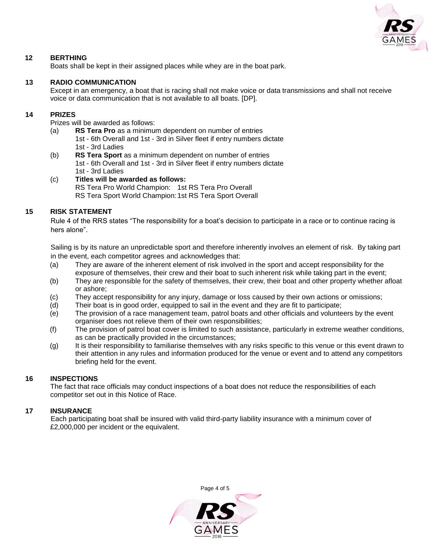

# **12 BERTHING**

Boats shall be kept in their assigned places while whey are in the boat park.

#### **13 RADIO COMMUNICATION**

Except in an emergency, a boat that is racing shall not make voice or data transmissions and shall not receive voice or data communication that is not available to all boats. [DP].

#### **14 PRIZES**

Prizes will be awarded as follows:

- (a) **RS Tera Pro** as a minimum dependent on number of entries 1st - 6th Overall and 1st - 3rd in Silver fleet if entry numbers dictate 1st - 3rd Ladies
- (b) **RS Tera Sport** as a minimum dependent on number of entries 1st - 6th Overall and 1st - 3rd in Silver fleet if entry numbers dictate 1st - 3rd Ladies

#### (c) **Titles will be awarded as follows:** RS Tera Pro World Champion: 1st RS Tera Pro Overall

RS Tera Sport World Champion:1st RS Tera Sport Overall

#### **15 RISK STATEMENT**

Rule 4 of the RRS states "The responsibility for a boat's decision to participate in a race or to continue racing is hers alone".

Sailing is by its nature an unpredictable sport and therefore inherently involves an element of risk. By taking part in the event, each competitor agrees and acknowledges that:

- (a) They are aware of the inherent element of risk involved in the sport and accept responsibility for the exposure of themselves, their crew and their boat to such inherent risk while taking part in the event;
- (b) They are responsible for the safety of themselves, their crew, their boat and other property whether afloat or ashore;
- (c) They accept responsibility for any injury, damage or loss caused by their own actions or omissions;
- (d) Their boat is in good order, equipped to sail in the event and they are fit to participate;
- (e) The provision of a race management team, patrol boats and other officials and volunteers by the event organiser does not relieve them of their own responsibilities;
- (f) The provision of patrol boat cover is limited to such assistance, particularly in extreme weather conditions, as can be practically provided in the circumstances;
- (g) It is their responsibility to familiarise themselves with any risks specific to this venue or this event drawn to their attention in any rules and information produced for the venue or event and to attend any competitors briefing held for the event.

#### **16 INSPECTIONS**

The fact that race officials may conduct inspections of a boat does not reduce the responsibilities of each competitor set out in this Notice of Race.

#### **17 INSURANCE**

Each participating boat shall be insured with valid third-party liability insurance with a minimum cover of £2,000,000 per incident or the equivalent.